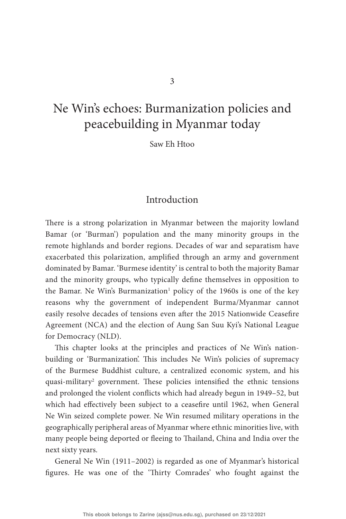# <span id="page-0-1"></span>[Ne Win's echoes: Burmanization policies and](#page-0-0)  [peacebuilding in Myanmar today](#page-0-0)

[Saw Eh Htoo](#page-0-0)

### **Introduction**

<span id="page-0-0"></span>There is a strong polarization in Myanmar between the majority lowland Bamar (or 'Burman') population and the many minority groups in the remote highlands and border regions. Decades of war and separatism have exacerbated this polarization, amplified through an army and government dominated by Bamar. 'Burmese identity' is central to both the majority Bamar and the minority groups, who typically define themselves in opposition to the Bamar. Ne Win's Burmanization<sup>[1](#page-15-0)</sup> policy of the 1960s is one of the key reasons why the government of independent Burma/Myanmar cannot easily resolve decades of tensions even after the 2015 Nationwide Ceasefire Agreement (NCA) and the election of Aung San Suu Kyi's National League for Democracy (NLD).

<span id="page-0-3"></span><span id="page-0-2"></span>This chapter looks at the principles and practices of Ne Win's nationbuilding or 'Burmanization'. This includes Ne Win's policies of supremacy of the Burmese Buddhist culture, a centralized economic system, and his quasi-military<sup>[2](#page-15-1)</sup> government. These policies intensified the ethnic tensions and prolonged the violent conflicts which had already begun in 1949–52, but which had effectively been subject to a ceasefire until 1962, when General Ne Win seized complete power. Ne Win resumed military operations in the geographically peripheral areas of Myanmar where ethnic minorities live, with many people being deported or fleeing to Thailand, China and India over the next sixty years.

General Ne Win (1911–2002) is regarded as one of Myanmar's historical figures. He was one of the 'Thirty Comrades' who fought against the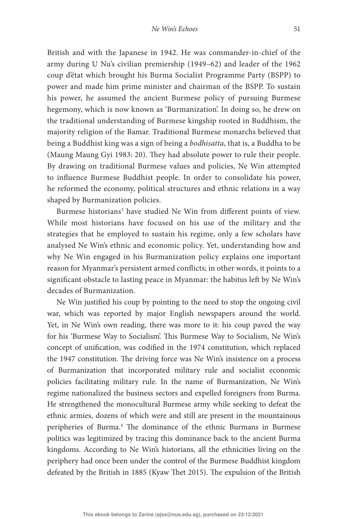British and with the Japanese in 1942. He was commander-in-chief of the army during U Nu's civilian premiership (1949–62) and leader of the 1962 coup d'état which brought his Burma Socialist Programme Party (BSPP) to power and made him prime minister and chairman of the BSPP. To sustain his power, he assumed the ancient Burmese policy of pursuing Burmese hegemony, which is now known as 'Burmanization'. In doing so, he drew on the traditional understanding of Burmese kingship rooted in Buddhism, the majority religion of the Bamar. Traditional Burmese monarchs believed that being a Buddhist king was a sign of being a bodhisatta, that is, a Buddha to be (Maung Maung Gyi 1983: 20). They had absolute power to rule their people. By drawing on traditional Burmese values and policies, Ne Win attempted to influence Burmese Buddhist people. In order to consolidate his power, he reformed the economy, political structures and ethnic relations in a way shaped by Burmanization policies.

<span id="page-1-0"></span>Burmese historians<sup>[3](#page-15-2)</sup> have studied Ne Win from different points of view. While most historians have focused on his use of the military and the strategies that he employed to sustain his regime, only a few scholars have analysed Ne Win's ethnic and economic policy. Yet, understanding how and why Ne Win engaged in his Burmanization policy explains one important reason for Myanmar's persistent armed conflicts; in other words, it points to a significant obstacle to lasting peace in Myanmar: the habitus left by Ne Win's decades of Burmanization.

<span id="page-1-1"></span>Ne Win justified his coup by pointing to the need to stop the ongoing civil war, which was reported by major English newspapers around the world. Yet, in Ne Win's own reading, there was more to it: his coup paved the way for his 'Burmese Way to Socialism'. This Burmese Way to Socialism, Ne Win's concept of unification, was codified in the 1974 constitution, which replaced the 1947 constitution. The driving force was Ne Win's insistence on a process of Burmanization that incorporated military rule and socialist economic policies facilitating military rule. In the name of Burmanization, Ne Win's regime nationalized the business sectors and expelled foreigners from Burma. He strengthened the monocultural Burmese army while seeking to defeat the ethnic armies, dozens of which were and still are present in the mountainous peripheries of Burma.<sup>4</sup> The dominance of the ethnic Burmans in Burmese politics was legitimized by tracing this dominance back to the ancient Burma kingdoms. According to Ne Win's historians, all the ethnicities living on the periphery had once been under the control of the Burmese Buddhist kingdom defeated by the British in 1885 (Kyaw Thet 2015). The expulsion of the British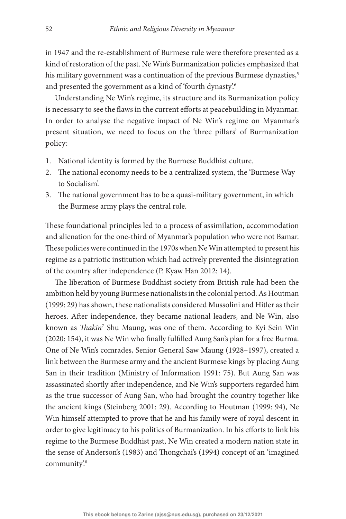<span id="page-2-0"></span>in 1947 and the re-establishment of Burmese rule were therefore presented as a kind of restoration of the past. Ne Win's Burmanization policies emphasized that his military government was a continuation of the previous Burmese dynasties,<sup>5</sup> and presented the government as a kind of 'fourth dynasty'[.6](#page-15-5)

<span id="page-2-1"></span>Understanding Ne Win's regime, its structure and its Burmanization policy is necessary to see the flaws in the current efforts at peacebuilding in Myanmar. In order to analyse the negative impact of Ne Win's regime on Myanmar's present situation, we need to focus on the 'three pillars' of Burmanization policy:

- 1. National identity is formed by the Burmese Buddhist culture.
- 2. The national economy needs to be a centralized system, the 'Burmese Way to Socialism'.
- 3. The national government has to be a quasi-military government, in which the Burmese army plays the central role.

These foundational principles led to a process of assimilation, accommodation and alienation for the one-third of Myanmar's population who were not Bamar. These policies were continued in the 1970s when Ne Win attempted to present his regime as a patriotic institution which had actively prevented the disintegration of the country after independence (P. Kyaw Han 2012: 14).

<span id="page-2-3"></span><span id="page-2-2"></span>The liberation of Burmese Buddhist society from British rule had been the ambition held by young Burmese nationalists in the colonial period. As Houtman (1999: 29) has shown, these nationalists considered Mussolini and Hitler as their heroes. After independence, they became national leaders, and Ne Win, also known as *Thakin<sup>[7](#page-15-6)</sup>* Shu Maung, was one of them. According to Kyi Sein Win (2020: 154), it was Ne Win who finally fulfilled Aung San's plan for a free Burma. One of Ne Win's comrades, Senior General Saw Maung (1928–1997), created a link between the Burmese army and the ancient Burmese kings by placing Aung San in their tradition (Ministry of Information 1991: 75). But Aung San was assassinated shortly after independence, and Ne Win's supporters regarded him as the true successor of Aung San, who had brought the country together like the ancient kings (Steinberg 2001: 29). According to Houtman (1999: 94), Ne Win himself attempted to prove that he and his family were of royal descent in order to give legitimacy to his politics of Burmanization. In his efforts to link his regime to the Burmese Buddhist past, Ne Win created a modern nation state in the sense of Anderson's (1983) and Thongchai's (1994) concept of an 'imagined community'.[8](#page-15-7)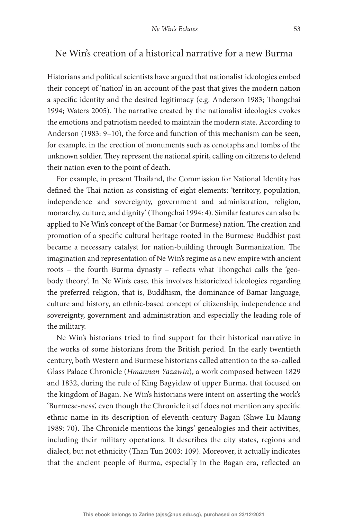### Ne Win's creation of a historical narrative for a new Burma

Historians and political scientists have argued that nationalist ideologies embed their concept of 'nation' in an account of the past that gives the modern nation a specific identity and the desired legitimacy (e.g. Anderson 1983; Thongchai 1994; Waters 2005). The narrative created by the nationalist ideologies evokes the emotions and patriotism needed to maintain the modern state. According to Anderson (1983: 9–10), the force and function of this mechanism can be seen, for example, in the erection of monuments such as cenotaphs and tombs of the unknown soldier. They represent the national spirit, calling on citizens to defend their nation even to the point of death.

For example, in present Thailand, the Commission for National Identity has defined the Thai nation as consisting of eight elements: 'territory, population, independence and sovereignty, government and administration, religion, monarchy, culture, and dignity' (Thongchai 1994: 4). Similar features can also be applied to Ne Win's concept of the Bamar (or Burmese) nation. The creation and promotion of a specific cultural heritage rooted in the Burmese Buddhist past became a necessary catalyst for nation-building through Burmanization. The imagination and representation of Ne Win's regime as a new empire with ancient roots – the fourth Burma dynasty – reflects what Thongchai calls the 'geobody theory'. In Ne Win's case, this involves historicized ideologies regarding the preferred religion, that is, Buddhism, the dominance of Bamar language, culture and history, an ethnic-based concept of citizenship, independence and sovereignty, government and administration and especially the leading role of the military.

Ne Win's historians tried to find support for their historical narrative in the works of some historians from the British period. In the early twentieth century, both Western and Burmese historians called attention to the so-called Glass Palace Chronicle (Hmannan Yazawin), a work composed between 1829 and 1832, during the rule of King Bagyidaw of upper Burma, that focused on the kingdom of Bagan. Ne Win's historians were intent on asserting the work's 'Burmese-ness', even though the Chronicle itself does not mention any specific ethnic name in its description of eleventh-century Bagan (Shwe Lu Maung 1989: 70). The Chronicle mentions the kings' genealogies and their activities, including their military operations. It describes the city states, regions and dialect, but not ethnicity (Than Tun 2003: 109). Moreover, it actually indicates that the ancient people of Burma, especially in the Bagan era, reflected an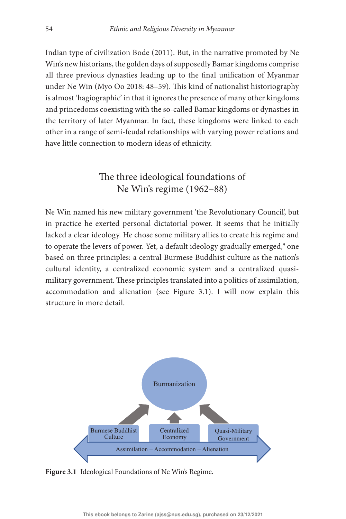Indian type of civilization Bode (2011). But, in the narrative promoted by Ne Win's new historians, the golden days of supposedly Bamar kingdoms comprise all three previous dynasties leading up to the final unification of Myanmar under Ne Win (Myo Oo 2018: 48–59). This kind of nationalist historiography is almost 'hagiographic' in that it ignores the presence of many other kingdoms and princedoms coexisting with the so-called Bamar kingdoms or dynasties in the territory of later Myanmar. In fact, these kingdoms were linked to each other in a range of semi-feudal relationships with varying power relations and have little connection to modern ideas of ethnicity.

## The three ideological foundations of Ne Win's regime (1962–88)

<span id="page-4-1"></span>Ne Win named his new military government 'the Revolutionary Council', but in practice he exerted personal dictatorial power. It seems that he initially lacked a clear ideology. He chose some military allies to create his regime and to operate the levers of power. Yet, a default ideology gradually emerged,<sup>9</sup> one based on three principles: a central Burmese Buddhist culture as the nation's cultural identity, a centralized economic system and a centralized quasimilitary government. These principles translated into a politics of assimilation, accommodation and alienation (see [Figure 3.1](#page-4-0)). I will now explain this structure in more detail.



<span id="page-4-0"></span>**[Figure 3.1](#page-0-1)** [Ideological Foundations of Ne Win's Regime.](#page-0-1)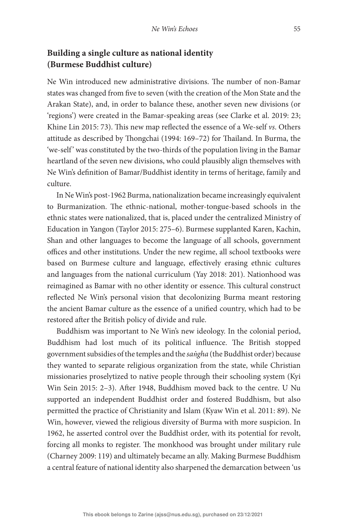## **Building a single culture as national identity (Burmese Buddhist culture)**

Ne Win introduced new administrative divisions. The number of non-Bamar states was changed from five to seven (with the creation of the Mon State and the Arakan State), and, in order to balance these, another seven new divisions (or 'regions') were created in the Bamar-speaking areas (see Clarke et al. 2019: 23; Khine Lin 2015: 73). This new map reflected the essence of a We-self vs. Others attitude as described by Thongchai (1994: 169-72) for Thailand. In Burma, the 'we-self' was constituted by the two-thirds of the population living in the Bamar heartland of the seven new divisions, who could plausibly align themselves with Ne Win's definition of Bamar/Buddhist identity in terms of heritage, family and culture.

In Ne Win's post-1962 Burma, nationalization became increasingly equivalent to Burmanization. The ethnic-national, mother-tongue-based schools in the ethnic states were nationalized, that is, placed under the centralized Ministry of Education in Yangon (Taylor 2015: 275–6). Burmese supplanted Karen, Kachin, Shan and other languages to become the language of all schools, government offices and other institutions. Under the new regime, all school textbooks were based on Burmese culture and language, effectively erasing ethnic cultures and languages from the national curriculum (Yay 2018: 201). Nationhood was reimagined as Bamar with no other identity or essence. This cultural construct reflected Ne Win's personal vision that decolonizing Burma meant restoring the ancient Bamar culture as the essence of a unified country, which had to be restored after the British policy of divide and rule.

Buddhism was important to Ne Win's new ideology. In the colonial period, Buddhism had lost much of its political influence. The British stopped government subsidies of the temples and the sangha (the Buddhist order) because they wanted to separate religious organization from the state, while Christian missionaries proselytized to native people through their schooling system (Kyi Win Sein 2015: 2–3). After 1948, Buddhism moved back to the centre. U Nu supported an independent Buddhist order and fostered Buddhism, but also permitted the practice of Christianity and Islam (Kyaw Win et al. 2011: 89). Ne Win, however, viewed the religious diversity of Burma with more suspicion. In 1962, he asserted control over the Buddhist order, with its potential for revolt, forcing all monks to register. The monkhood was brought under military rule (Charney 2009: 119) and ultimately became an ally. Making Burmese Buddhism a central feature of national identity also sharpened the demarcation between 'us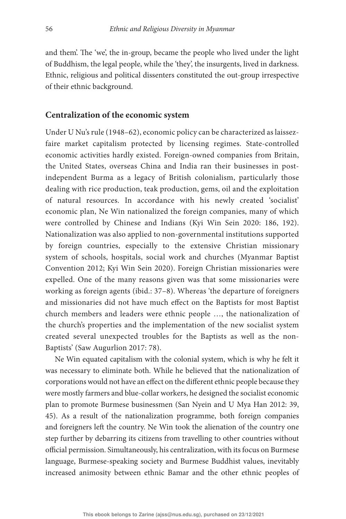and them'. The 'we', the in-group, became the people who lived under the light of Buddhism, the legal people, while the 'they', the insurgents, lived in darkness. Ethnic, religious and political dissenters constituted the out-group irrespective of their ethnic background.

#### **Centralization of the economic system**

Under U Nu's rule (1948–62), economic policy can be characterized as laissezfaire market capitalism protected by licensing regimes. State-controlled economic activities hardly existed. Foreign-owned companies from Britain, the United States, overseas China and India ran their businesses in postindependent Burma as a legacy of British colonialism, particularly those dealing with rice production, teak production, gems, oil and the exploitation of natural resources. In accordance with his newly created 'socialist' economic plan, Ne Win nationalized the foreign companies, many of which were controlled by Chinese and Indians (Kyi Win Sein 2020: 186, 192). Nationalization was also applied to non-governmental institutions supported by foreign countries, especially to the extensive Christian missionary system of schools, hospitals, social work and churches (Myanmar Baptist Convention 2012; Kyi Win Sein 2020). Foreign Christian missionaries were expelled. One of the many reasons given was that some missionaries were working as foreign agents (ibid.: 37–8). Whereas 'the departure of foreigners and missionaries did not have much effect on the Baptists for most Baptist church members and leaders were ethnic people …, the nationalization of the church's properties and the implementation of the new socialist system created several unexpected troubles for the Baptists as well as the non-Baptists' (Saw Augurlion 2017: 78).

Ne Win equated capitalism with the colonial system, which is why he felt it was necessary to eliminate both. While he believed that the nationalization of corporations would not have an effect on the different ethnic people because they were mostly farmers and blue-collar workers, he designed the socialist economic plan to promote Burmese businessmen (San Nyein and U Mya Han 2012: 39, 45). As a result of the nationalization programme, both foreign companies and foreigners left the country. Ne Win took the alienation of the country one step further by debarring its citizens from travelling to other countries without official permission. Simultaneously, his centralization, with its focus on Burmese language, Burmese-speaking society and Burmese Buddhist values, inevitably increased animosity between ethnic Bamar and the other ethnic peoples of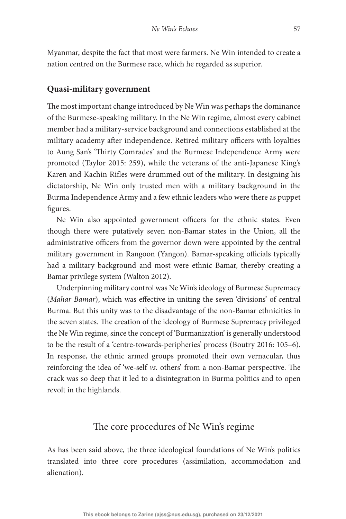Myanmar, despite the fact that most were farmers. Ne Win intended to create a nation centred on the Burmese race, which he regarded as superior.

#### **Quasi-military government**

The most important change introduced by Ne Win was perhaps the dominance of the Burmese-speaking military. In the Ne Win regime, almost every cabinet member had a military-service background and connections established at the military academy after independence. Retired military officers with loyalties to Aung San's 'Thirty Comrades' and the Burmese Independence Army were promoted (Taylor 2015: 259), while the veterans of the anti-Japanese King's Karen and Kachin Rifles were drummed out of the military. In designing his dictatorship, Ne Win only trusted men with a military background in the Burma Independence Army and a few ethnic leaders who were there as puppet figures.

Ne Win also appointed government officers for the ethnic states. Even though there were putatively seven non-Bamar states in the Union, all the administrative officers from the governor down were appointed by the central military government in Rangoon (Yangon). Bamar-speaking officials typically had a military background and most were ethnic Bamar, thereby creating a Bamar privilege system (Walton 2012).

Underpinning military control was Ne Win's ideology of Burmese Supremacy (Mahar Bamar), which was effective in uniting the seven 'divisions' of central Burma. But this unity was to the disadvantage of the non-Bamar ethnicities in the seven states. The creation of the ideology of Burmese Supremacy privileged the Ne Win regime, since the concept of 'Burmanization' is generally understood to be the result of a 'centre-towards-peripheries' process (Boutry 2016: 105–6). In response, the ethnic armed groups promoted their own vernacular, thus reinforcing the idea of 'we-self vs. others' from a non-Bamar perspective. The crack was so deep that it led to a disintegration in Burma politics and to open revolt in the highlands.

### The core procedures of Ne Win's regime

As has been said above, the three ideological foundations of Ne Win's politics translated into three core procedures (assimilation, accommodation and alienation).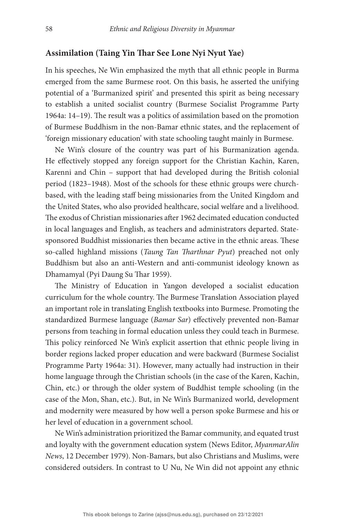### **Assimilation (Taing Yin !ar See Lone Nyi Nyut Yae)**

In his speeches, Ne Win emphasized the myth that all ethnic people in Burma emerged from the same Burmese root. On this basis, he asserted the unifying potential of a 'Burmanized spirit' and presented this spirit as being necessary to establish a united socialist country (Burmese Socialist Programme Party 1964a:  $14-19$ ). The result was a politics of assimilation based on the promotion of Burmese Buddhism in the non-Bamar ethnic states, and the replacement of 'foreign missionary education' with state schooling taught mainly in Burmese.

Ne Win's closure of the country was part of his Burmanization agenda. He effectively stopped any foreign support for the Christian Kachin, Karen, Karenni and Chin – support that had developed during the British colonial period (1823–1948). Most of the schools for these ethnic groups were churchbased, with the leading staff being missionaries from the United Kingdom and the United States, who also provided healthcare, social welfare and a livelihood. The exodus of Christian missionaries after 1962 decimated education conducted in local languages and English, as teachers and administrators departed. Statesponsored Buddhist missionaries then became active in the ethnic areas. These so-called highland missions (Taung Tan Tharthnar Pyut) preached not only Buddhism but also an anti-Western and anti-communist ideology known as Dhamamyal (Pyi Daung Su Thar 1959).

The Ministry of Education in Yangon developed a socialist education curriculum for the whole country. The Burmese Translation Association played an important role in translating English textbooks into Burmese. Promoting the standardized Burmese language (Bamar Sar) effectively prevented non-Bamar persons from teaching in formal education unless they could teach in Burmese. This policy reinforced Ne Win's explicit assertion that ethnic people living in border regions lacked proper education and were backward (Burmese Socialist Programme Party 1964a: 31). However, many actually had instruction in their home language through the Christian schools (in the case of the Karen, Kachin, Chin, etc.) or through the older system of Buddhist temple schooling (in the case of the Mon, Shan, etc.). But, in Ne Win's Burmanized world, development and modernity were measured by how well a person spoke Burmese and his or her level of education in a government school.

Ne Win's administration prioritized the Bamar community, and equated trust and loyalty with the government education system (News Editor, MyanmarAlin News, 12 December 1979). Non-Bamars, but also Christians and Muslims, were considered outsiders. In contrast to U Nu, Ne Win did not appoint any ethnic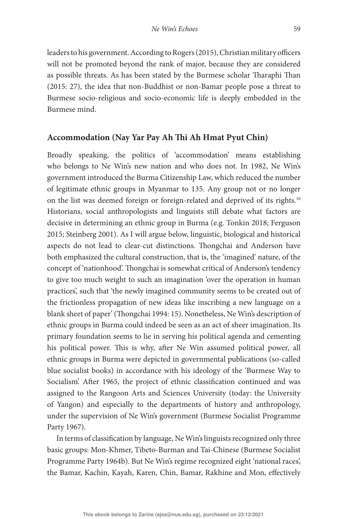leaders to his government. According to Rogers (2015), Christian military officers will not be promoted beyond the rank of major, because they are considered as possible threats. As has been stated by the Burmese scholar Tharaphi Than (2015: 27), the idea that non-Buddhist or non-Bamar people pose a threat to Burmese socio-religious and socio-economic life is deeply embedded in the Burmese mind.

#### **Accommodation (Nay Yar Pay Ah !i Ah Hmat Pyut Chin)**

<span id="page-9-0"></span>Broadly speaking, the politics of 'accommodation' means establishing who belongs to Ne Win's new nation and who does not. In 1982, Ne Win's government introduced the Burma Citizenship Law, which reduced the number of legitimate ethnic groups in Myanmar to 135. Any group not or no longer on the list was deemed foreign or foreign-related and deprived of its rights[.10](#page-15-9) Historians, social anthropologists and linguists still debate what factors are decisive in determining an ethnic group in Burma (e.g. Tonkin 2018; Ferguson 2015; Steinberg 2001). As I will argue below, linguistic, biological and historical aspects do not lead to clear-cut distinctions. Thongchai and Anderson have both emphasized the cultural construction, that is, the 'imagined' nature, of the concept of 'nationhood'. Thongchai is somewhat critical of Anderson's tendency to give too much weight to such an imagination 'over the operation in human practices', such that 'the newly imagined community seems to be created out of the frictionless propagation of new ideas like inscribing a new language on a blank sheet of paper' (Thongchai 1994: 15). Nonetheless, Ne Win's description of ethnic groups in Burma could indeed be seen as an act of sheer imagination. Its primary foundation seems to lie in serving his political agenda and cementing his political power. This is why, after Ne Win assumed political power, all ethnic groups in Burma were depicted in governmental publications (so-called blue socialist books) in accordance with his ideology of the 'Burmese Way to Socialism'. After 1965, the project of ethnic classification continued and was assigned to the Rangoon Arts and Sciences University (today: the University of Yangon) and especially to the departments of history and anthropology, under the supervision of Ne Win's government (Burmese Socialist Programme Party 1967).

In terms of classification by language, Ne Win's linguists recognized only three basic groups: Mon-Khmer, Tibeto-Burman and Tai-Chinese (Burmese Socialist Programme Party 1964b). But Ne Win's regime recognized eight 'national races', the Bamar, Kachin, Kayah, Karen, Chin, Bamar, Rakhine and Mon, effectively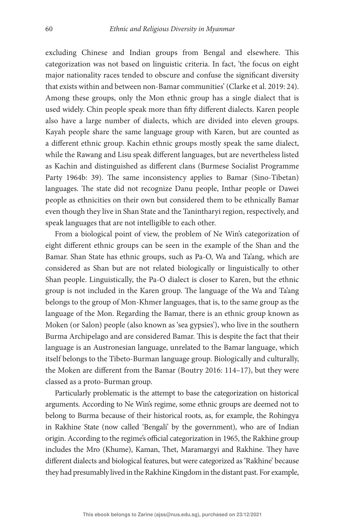excluding Chinese and Indian groups from Bengal and elsewhere. This categorization was not based on linguistic criteria. In fact, 'the focus on eight major nationality races tended to obscure and confuse the significant diversity that exists within and between non-Bamar communities' (Clarke et al. 2019: 24). Among these groups, only the Mon ethnic group has a single dialect that is used widely. Chin people speak more than fifty different dialects. Karen people also have a large number of dialects, which are divided into eleven groups. Kayah people share the same language group with Karen, but are counted as a different ethnic group. Kachin ethnic groups mostly speak the same dialect, while the Rawang and Lisu speak different languages, but are nevertheless listed as Kachin and distinguished as different clans (Burmese Socialist Programme Party 1964b: 39). The same inconsistency applies to Bamar (Sino-Tibetan) languages. The state did not recognize Danu people, Inthar people or Dawei people as ethnicities on their own but considered them to be ethnically Bamar even though they live in Shan State and the Tanintharyi region, respectively, and speak languages that are not intelligible to each other.

From a biological point of view, the problem of Ne Win's categorization of eight different ethnic groups can be seen in the example of the Shan and the Bamar. Shan State has ethnic groups, such as Pa-O, Wa and Ta'ang, which are considered as Shan but are not related biologically or linguistically to other Shan people. Linguistically, the Pa-O dialect is closer to Karen, but the ethnic group is not included in the Karen group. The language of the Wa and Ta'ang belongs to the group of Mon-Khmer languages, that is, to the same group as the language of the Mon. Regarding the Bamar, there is an ethnic group known as Moken (or Salon) people (also known as 'sea gypsies'), who live in the southern Burma Archipelago and are considered Bamar. This is despite the fact that their language is an Austronesian language, unrelated to the Bamar language, which itself belongs to the Tibeto-Burman language group. Biologically and culturally, the Moken are different from the Bamar (Boutry 2016: 114–17), but they were classed as a proto-Burman group.

Particularly problematic is the attempt to base the categorization on historical arguments. According to Ne Win's regime, some ethnic groups are deemed not to belong to Burma because of their historical roots, as, for example, the Rohingya in Rakhine State (now called 'Bengali' by the government), who are of Indian origin. According to the regime's official categorization in 1965, the Rakhine group includes the Mro (Khume), Kaman, Thet, Maramargyi and Rakhine. They have different dialects and biological features, but were categorized as 'Rakhine' because they had presumably lived in the Rakhine Kingdom in the distant past. For example,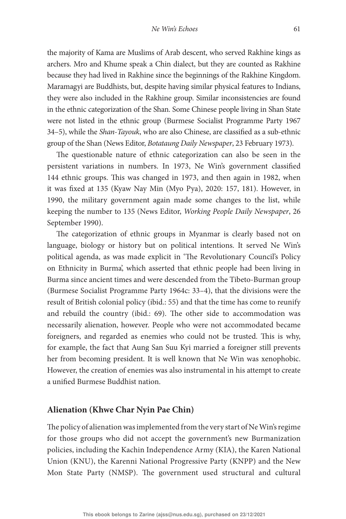the majority of Kama are Muslims of Arab descent, who served Rakhine kings as archers. Mro and Khume speak a Chin dialect, but they are counted as Rakhine because they had lived in Rakhine since the beginnings of the Rakhine Kingdom. Maramagyi are Buddhists, but, despite having similar physical features to Indians, they were also included in the Rakhine group. Similar inconsistencies are found in the ethnic categorization of the Shan. Some Chinese people living in Shan State were not listed in the ethnic group (Burmese Socialist Programme Party 1967 34–5), while the Shan-Tayouk, who are also Chinese, are classified as a sub-ethnic group of the Shan (News Editor, Botataung Daily Newspaper, 23 February 1973).

The questionable nature of ethnic categorization can also be seen in the persistent variations in numbers. In 1973, Ne Win's government classified 144 ethnic groups. This was changed in 1973, and then again in 1982, when it was fixed at 135 (Kyaw Nay Min (Myo Pya), 2020: 157, 181). However, in 1990, the military government again made some changes to the list, while keeping the number to 135 (News Editor, Working People Daily Newspaper, 26 September 1990).

The categorization of ethnic groups in Myanmar is clearly based not on language, biology or history but on political intentions. It served Ne Win's political agenda, as was made explicit in 'The Revolutionary Council's Policy on Ethnicity in Burma', which asserted that ethnic people had been living in Burma since ancient times and were descended from the Tibeto-Burman group (Burmese Socialist Programme Party 1964c: 33–4), that the divisions were the result of British colonial policy (ibid.: 55) and that the time has come to reunify and rebuild the country (ibid.:  $69$ ). The other side to accommodation was necessarily alienation, however. People who were not accommodated became foreigners, and regarded as enemies who could not be trusted. This is why, for example, the fact that Aung San Suu Kyi married a foreigner still prevents her from becoming president. It is well known that Ne Win was xenophobic. However, the creation of enemies was also instrumental in his attempt to create a unified Burmese Buddhist nation.

### **Alienation (Khwe Char Nyin Pae Chin)**

The policy of alienation was implemented from the very start of Ne Win's regime for those groups who did not accept the government's new Burmanization policies, including the Kachin Independence Army (KIA), the Karen National Union (KNU), the Karenni National Progressive Party (KNPP) and the New Mon State Party (NMSP). The government used structural and cultural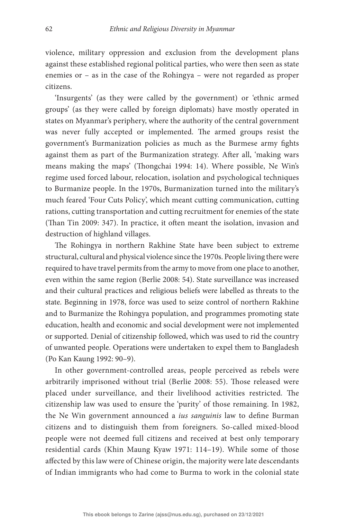violence, military oppression and exclusion from the development plans against these established regional political parties, who were then seen as state enemies or – as in the case of the Rohingya – were not regarded as proper citizens.

'Insurgents' (as they were called by the government) or 'ethnic armed groups' (as they were called by foreign diplomats) have mostly operated in states on Myanmar's periphery, where the authority of the central government was never fully accepted or implemented. The armed groups resist the government's Burmanization policies as much as the Burmese army fights against them as part of the Burmanization strategy. After all, 'making wars means making the maps' (Thongchai 1994: 14). Where possible, Ne Win's regime used forced labour, relocation, isolation and psychological techniques to Burmanize people. In the 1970s, Burmanization turned into the military's much feared 'Four Cuts Policy', which meant cutting communication, cutting rations, cutting transportation and cutting recruitment for enemies of the state (Than Tin 2009: 347). In practice, it often meant the isolation, invasion and destruction of highland villages.

The Rohingya in northern Rakhine State have been subject to extreme structural, cultural and physical violence since the 1970s. People living there were required to have travel permits from the army to move from one place to another, even within the same region (Berlie 2008: 54). State surveillance was increased and their cultural practices and religious beliefs were labelled as threats to the state. Beginning in 1978, force was used to seize control of northern Rakhine and to Burmanize the Rohingya population, and programmes promoting state education, health and economic and social development were not implemented or supported. Denial of citizenship followed, which was used to rid the country of unwanted people. Operations were undertaken to expel them to Bangladesh (Po Kan Kaung 1992: 90–9).

In other government-controlled areas, people perceived as rebels were arbitrarily imprisoned without trial (Berlie 2008: 55). Those released were placed under surveillance, and their livelihood activities restricted. The citizenship law was used to ensure the 'purity' of those remaining. In 1982, the Ne Win government announced a ius sanguinis law to define Burman citizens and to distinguish them from foreigners. So-called mixed-blood people were not deemed full citizens and received at best only temporary residential cards (Khin Maung Kyaw 1971: 114–19). While some of those affected by this law were of Chinese origin, the majority were late descendants of Indian immigrants who had come to Burma to work in the colonial state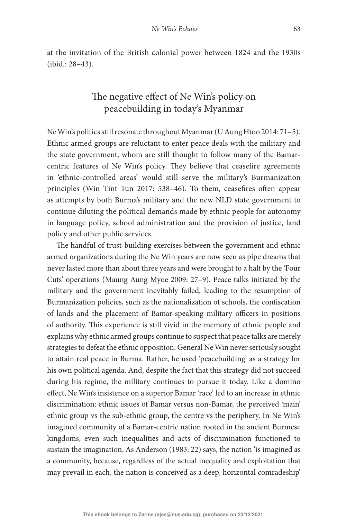at the invitation of the British colonial power between 1824 and the 1930s (ibid.: 28–43).

# The negative effect of Ne Win's policy on peacebuilding in today's Myanmar

Ne Win's politics still resonate throughout Myanmar (U Aung Htoo 2014: 71–5). Ethnic armed groups are reluctant to enter peace deals with the military and the state government, whom are still thought to follow many of the Bamarcentric features of Ne Win's policy. They believe that ceasefire agreements in 'ethnic-controlled areas' would still serve the military's Burmanization principles (Win Tint Tun 2017: 538-46). To them, ceasefires often appear as attempts by both Burma's military and the new NLD state government to continue diluting the political demands made by ethnic people for autonomy in language policy, school administration and the provision of justice, land policy and other public services.

The handful of trust-building exercises between the government and ethnic armed organizations during the Ne Win years are now seen as pipe dreams that never lasted more than about three years and were brought to a halt by the 'Four Cuts' operations (Maung Aung Myoe 2009: 27–9). Peace talks initiated by the military and the government inevitably failed, leading to the resumption of Burmanization policies, such as the nationalization of schools, the confiscation of lands and the placement of Bamar-speaking military officers in positions of authority. This experience is still vivid in the memory of ethnic people and explains why ethnic armed groups continue to suspect that peace talks are merely strategies to defeat the ethnic opposition. General Ne Win never seriously sought to attain real peace in Burma. Rather, he used 'peacebuilding' as a strategy for his own political agenda. And, despite the fact that this strategy did not succeed during his regime, the military continues to pursue it today. Like a domino effect, Ne Win's insistence on a superior Bamar 'race' led to an increase in ethnic discrimination: ethnic issues of Bamar versus non-Bamar, the perceived 'main' ethnic group vs the sub-ethnic group, the centre vs the periphery. In Ne Win's imagined community of a Bamar-centric nation rooted in the ancient Burmese kingdoms, even such inequalities and acts of discrimination functioned to sustain the imagination. As Anderson (1983: 22) says, the nation 'is imagined as a community, because, regardless of the actual inequality and exploitation that may prevail in each, the nation is conceived as a deep, horizontal comradeship'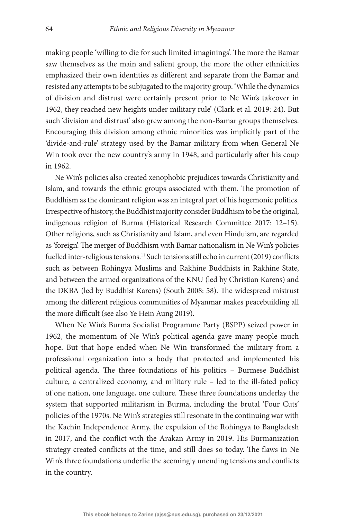making people 'willing to die for such limited imaginings'. The more the Bamar saw themselves as the main and salient group, the more the other ethnicities emphasized their own identities as different and separate from the Bamar and resisted any attempts to be subjugated to the majority group. 'While the dynamics of division and distrust were certainly present prior to Ne Win's takeover in 1962, they reached new heights under military rule' (Clark et al. 2019: 24). But such 'division and distrust' also grew among the non-Bamar groups themselves. Encouraging this division among ethnic minorities was implicitly part of the 'divide-and-rule' strategy used by the Bamar military from when General Ne Win took over the new country's army in 1948, and particularly after his coup in 1962.

Ne Win's policies also created xenophobic prejudices towards Christianity and Islam, and towards the ethnic groups associated with them. The promotion of Buddhism as the dominant religion was an integral part of his hegemonic politics. Irrespective of history, the Buddhist majority consider Buddhism to be the original, indigenous religion of Burma (Historical Research Committee 2017: 12–15). Other religions, such as Christianity and Islam, and even Hinduism, are regarded as 'foreign'. The merger of Buddhism with Bamar nationalism in Ne Win's policies fuelled inter-religious tensions.<sup>11</sup> Such tensions still echo in current (2019) conflicts such as between Rohingya Muslims and Rakhine Buddhists in Rakhine State, and between the armed organizations of the KNU (led by Christian Karens) and the DKBA (led by Buddhist Karens) (South 2008: 58). The widespread mistrust among the different religious communities of Myanmar makes peacebuilding all the more difficult (see also Ye Hein Aung 2019).

<span id="page-14-0"></span>When Ne Win's Burma Socialist Programme Party (BSPP) seized power in 1962, the momentum of Ne Win's political agenda gave many people much hope. But that hope ended when Ne Win transformed the military from a professional organization into a body that protected and implemented his political agenda. The three foundations of his politics – Burmese Buddhist culture, a centralized economy, and military rule – led to the ill-fated policy of one nation, one language, one culture. These three foundations underlay the system that supported militarism in Burma, including the brutal 'Four Cuts' policies of the 1970s. Ne Win's strategies still resonate in the continuing war with the Kachin Independence Army, the expulsion of the Rohingya to Bangladesh in 2017, and the conflict with the Arakan Army in 2019. His Burmanization strategy created conflicts at the time, and still does so today. The flaws in Ne Win's three foundations underlie the seemingly unending tensions and conflicts in the country.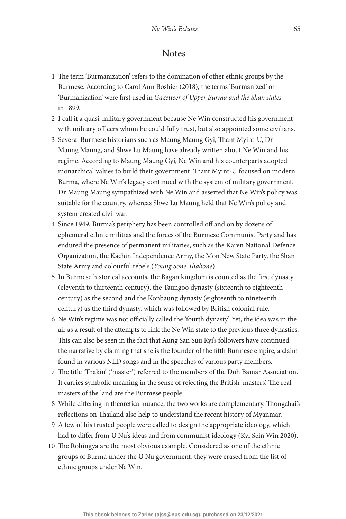### **Notes**

- <span id="page-15-0"></span>[1](#page-0-2) The term 'Burmanization' refers to the domination of other ethnic groups by the Burmese. According to Carol Ann Boshier (2018), the terms 'Burmanized' or 'Burmanization' were first used in Gazetteer of Upper Burma and the Shan states in 1899.
- <span id="page-15-1"></span>[2](#page-0-3) I call it a quasi-military government because Ne Win constructed his government with military officers whom he could fully trust, but also appointed some civilians.
- <span id="page-15-2"></span>[3](#page-1-0) Several Burmese historians such as Maung Maung Gyi, Thant Myint-U, Dr Maung Maung, and Shwe Lu Maung have already written about Ne Win and his regime. According to Maung Maung Gyi, Ne Win and his counterparts adopted monarchical values to build their government. Thant Myint-U focused on modern Burma, where Ne Win's legacy continued with the system of military government. Dr Maung Maung sympathized with Ne Win and asserted that Ne Win's policy was suitable for the country, whereas Shwe Lu Maung held that Ne Win's policy and system created civil war.
- <span id="page-15-3"></span>[4](#page-1-1) Since 1949, Burma's periphery has been controlled off and on by dozens of ephemeral ethnic militias and the forces of the Burmese Communist Party and has endured the presence of permanent militaries, such as the Karen National Defence Organization, the Kachin Independence Army, the Mon New State Party, the Shan State Army and colourful rebels (Young Sone Thabone).
- <span id="page-15-4"></span>[5](#page-2-0) In Burmese historical accounts, the Bagan kingdom is counted as the first dynasty (eleventh to thirteenth century), the Taungoo dynasty (sixteenth to eighteenth century) as the second and the Konbaung dynasty (eighteenth to nineteenth century) as the third dynasty, which was followed by British colonial rule.
- <span id="page-15-5"></span>[6](#page-2-1) Ne Win's regime was not officially called the 'fourth dynasty'. Yet, the idea was in the air as a result of the attempts to link the Ne Win state to the previous three dynasties. This can also be seen in the fact that Aung San Suu Kyi's followers have continued the narrative by claiming that she is the founder of the fifth Burmese empire, a claim found in various NLD songs and in the speeches of various party members.
- <span id="page-15-6"></span>[7](#page-2-2) The title 'Thakin' ('master') referred to the members of the Doh Bamar Association. It carries symbolic meaning in the sense of rejecting the British 'masters'. The real masters of the land are the Burmese people.
- <span id="page-15-7"></span>[8](#page-2-3) While differing in theoretical nuance, the two works are complementary. Thongchai's reflections on Thailand also help to understand the recent history of Myanmar.
- <span id="page-15-8"></span>[9](#page-4-1) A few of his trusted people were called to design the appropriate ideology, which had to differ from U Nu's ideas and from communist ideology (Kyi Sein Win 2020).
- <span id="page-15-9"></span>[10](#page-9-0) The Rohingya are the most obvious example. Considered as one of the ethnic groups of Burma under the U Nu government, they were erased from the list of ethnic groups under Ne Win.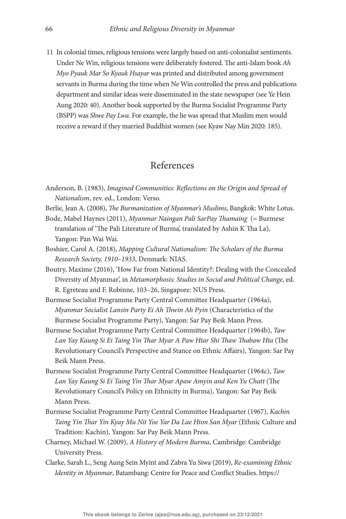<span id="page-16-0"></span>[11](#page-14-0) In colonial times, religious tensions were largely based on anti-colonialist sentiments. Under Ne Win, religious tensions were deliberately fostered. The anti-Islam book  $Ah$ Myo Pyauk Mar So Kyauk Hsayar was printed and distributed among government servants in Burma during the time when Ne Win controlled the press and publications department and similar ideas were disseminated in the state newspaper (see Ye Hein Aung 2020: 40). Another book supported by the Burma Socialist Programme Party (BSPP) was Shwe Pay Lwa. For example, the lie was spread that Muslim men would receive a reward if they married Buddhist women (see Kyaw Nay Min 2020: 185).

### References

- Anderson, B. (1983), Imagined Communities: Reflections on the Origin and Spread of Nationalism, rev. ed., London: Verso.
- Berlie, Jean A. (2008), The Burmanization of Myanmar's Muslims, Bangkok: White Lotus.
- Bode, Mabel Haynes (2011), Myanmar Naingan Pali SarPay Thamaing (= Burmese translation of 'The Pali Literature of Burma', translated by Ashin K Tha La), Yangon: Pan Wai Wai.
- Boshier, Carol A. (2018), Mapping Cultural Nationalism: The Scholars of the Burma Research Society, 1910–1933, Denmark: NIAS.
- Boutry, Maxime (2016), 'How Far from National Identity?: Dealing with the Concealed Diversity of Myanmar', in Metamorphosis: Studies in Social and Political Change, ed. R. Egreteau and F. Robinne, 103–26, Singapore: NUS Press.
- Burmese Socialist Programme Party Central Committee Headquarter (1964a), Myanmar Socialist Lansin Party Ei Ah Thwin Ah Pyin (Characteristics of the Burmese Socialist Programme Party), Yangon: Sar Pay Beik Mann Press.
- Burmese Socialist Programme Party Central Committee Headquarter (1964b), Taw Lan Yay Kaung Si Ei Taing Yin Thar Myar A Paw Htar Shi Thaw Thabaw Hta (The Revolutionary Council's Perspective and Stance on Ethnic Affairs), Yangon: Sar Pay Beik Mann Press.
- Burmese Socialist Programme Party Central Committee Headquarter (1964c), Taw Lan Yay Kaung Si Ei Taing Yin Thar Myar Apaw Amyin and Ken Yu Chatt (The Revolutionary Council's Policy on Ethnicity in Burma), Yangon: Sar Pay Beik Mann Press.
- Burmese Socialist Programme Party Central Committee Headquarter (1967), Kachin Taing Yin Thar Yin Kyay Mu Nit Yoe Yar Da Lae Hton San Myar (Ethnic Culture and Tradition: Kachin), Yangon: Sar Pay Beik Mann Press.
- Charney, Michael W. (2009), A History of Modern Burma, Cambridge: Cambridge University Press.
- Clarke, Sarah L., Seng Aung Sein Myint and Zabra Yu Siwa (2019), Re-examining Ethnic Identity in Myanmar, Batambang: Centre for Peace and Conflict Studies. [https://](https://www.reliefweb.int/sites/reliefweb.int/files/resources/Ethnic-Identity-in-Myanmar.pdf)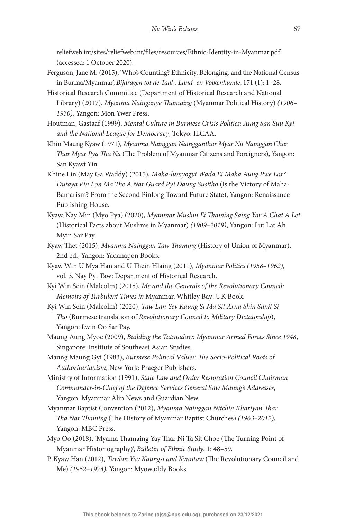reliefweb.int/sites/reliefweb.int/"[les/resources/Ethnic-Identity-in-Myanmar.pdf](https://www.reliefweb.int/sites/reliefweb.int/files/resources/Ethnic-Identity-in-Myanmar.pdf) (accessed: 1 October 2020).

- Ferguson, Jane M. (2015), 'Who's Counting? Ethnicity, Belonging, and the National Census in Burma/Myanmar', Bijdragen tot de Taal-, Land- en Volkenkunde, 171 (1): 1–28.
- Historical Research Committee (Department of Historical Research and National Library) (2017), Myanma Nainganye Thamaing (Myanmar Political History) (1906– 1930), Yangon: Mon Ywer Press.
- Houtman, Gastaaf (1999). Mental Culture in Burmese Crisis Politics: Aung San Suu Kyi and the National League for Democracy, Tokyo: ILCAA.
- Khin Maung Kyaw (1971), Myanma Nainggan Naingganthar Myar Nit Nainggan Char Thar Myar Pya Tha Na (The Problem of Myanmar Citizens and Foreigners), Yangon: San Kyawt Yin.
- Khine Lin (May Ga Waddy) (2015), Maha-lumyogyi Wada Ei Maha Aung Pwe Lar? Dutaya Pin Lon Ma The A Nar Guard Pyi Daung Susitho (Is the Victory of Maha-Bamarism? From the Second Pinlong Toward Future State), Yangon: Renaissance Publishing House.
- Kyaw, Nay Min (Myo Pya) (2020), Myanmar Muslim Ei Thaming Saing Yar A Chat A Let (Historical Facts about Muslims in Myanmar) (1909–2019), Yangon: Lut Lat Ah Myin Sar Pay.
- Kyaw Thet (2015), Myanma Nainggan Taw Thaming (History of Union of Myanmar), 2nd ed., Yangon: Yadanapon Books.
- Kyaw Win U Mya Han and U Thein Hlaing (2011), Myanmar Politics (1958-1962), vol. 3, Nay Pyi Taw: Department of Historical Research.
- Kyi Win Sein (Malcolm) (2015), Me and the Generals of the Revolutionary Council: Memoirs of Turbulent Times in Myanmar, Whitley Bay: UK Book.
- Kyi Win Sein (Malcolm) (2020), Taw Lan Yey Kaung Si Ma Sit Arna Shin Sanit Si Tho (Burmese translation of Revolutionary Council to Military Dictatorship), Yangon: Lwin Oo Sar Pay.
- Maung Aung Myoe (2009), Building the Tatmadaw: Myanmar Armed Forces Since 1948, Singapore: Institute of Southeast Asian Studies.
- Maung Maung Gyi (1983), Burmese Political Values: The Socio-Political Roots of Authoritarianism, New York: Praeger Publishers.
- Ministry of Information (1991), State Law and Order Restoration Council Chairman Commander-in-Chief of the Defence Services General Saw Maung's Addresses, Yangon: Myanmar Alin News and Guardian New.
- Myanmar Baptist Convention (2012), Myanma Nainggan Nitchin Khariyan Thar Tha Nar Thaming (The History of Myanmar Baptist Churches) (1963-2012), Yangon: MBC Press.
- Myo Oo (2018), 'Myama Thamaing Yay Thar Ni Ta Sit Choe (The Turning Point of Myanmar Historiography)', Bulletin of Ethnic Study, 1: 48–59.
- P. Kyaw Han (2012), Tawlan Yay Kaungsi and Kyuntaw (The Revolutionary Council and Me) (1962–1974), Yangon: Myowaddy Books.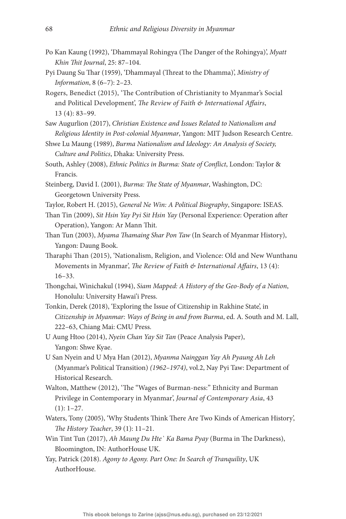- Po Kan Kaung (1992), 'Dhammayal Rohingya (The Danger of the Rohingya)', Myatt Khin Thit Journal, 25: 87-104.
- Pyi Daung Su Thar (1959), 'Dhammayal (Threat to the Dhamma)', Ministry of Information, 8 (6–7): 2–23.
- Rogers, Benedict (2015), 'The Contribution of Christianity to Myanmar's Social and Political Development', The Review of Faith & International Affairs, 13 (4): 83–99.
- Saw Augurlion (2017), Christian Existence and Issues Related to Nationalism and Religious Identity in Post-colonial Myanmar, Yangon: MIT Judson Research Centre.
- Shwe Lu Maung (1989), Burma Nationalism and Ideology: An Analysis of Society, Culture and Politics, Dhaka: University Press.
- South, Ashley (2008), Ethnic Politics in Burma: State of Conflict, London: Taylor & Francis.
- Steinberg, David I. (2001), Burma: The State of Myanmar, Washington, DC: Georgetown University Press.
- Taylor, Robert H. (2015), General Ne Win: A Political Biography, Singapore: ISEAS.
- Than Tin (2009), Sit Hsin Yay Pyi Sit Hsin Yay (Personal Experience: Operation after Operation), Yangon: Ar Mann Thit.
- Than Tun (2003), Myama Thamaing Shar Pon Taw (In Search of Myanmar History), Yangon: Daung Book.
- Tharaphi Than (2015), 'Nationalism, Religion, and Violence: Old and New Wunthanu Movements in Myanmar', The Review of Faith & International Affairs, 13 (4): 16–33.
- Thongchai, Winichakul (1994), Siam Mapped: A History of the Geo-Body of a Nation, Honolulu: University Hawai'i Press.
- Tonkin, Derek (2018), 'Exploring the Issue of Citizenship in Rakhine State', in Citizenship in Myanmar: Ways of Being in and from Burma, ed. A. South and M. Lall, 222–63, Chiang Mai: CMU Press.
- U Aung Htoo (2014), Nyein Chan Yay Sit Tan (Peace Analysis Paper), Yangon: Shwe Kyae.
- U San Nyein and U Mya Han (2012), Myanma Nainggan Yay Ah Pyaung Ah Leh (Myanmar's Political Transition) (1962–1974), vol.2, Nay Pyi Taw: Department of Historical Research.
- Walton, Matthew (2012), 'The "Wages of Burman-ness:" Ethnicity and Burman Privilege in Contemporary in Myanmar', Journal of Contemporary Asia, 43  $(1): 1-27.$
- Waters, Tony (2005), 'Why Students Think There Are Two Kinds of American History', The History Teacher, 39  $(1)$ : 11-21.
- Win Tint Tun (2017), Ah Maung Du Hte' Ka Bama Pyay (Burma in The Darkness), Bloomington, IN: AuthorHouse UK.
- Yay, Patrick (2018). Agony to Agony. Part One: In Search of Tranquility, UK AuthorHouse.